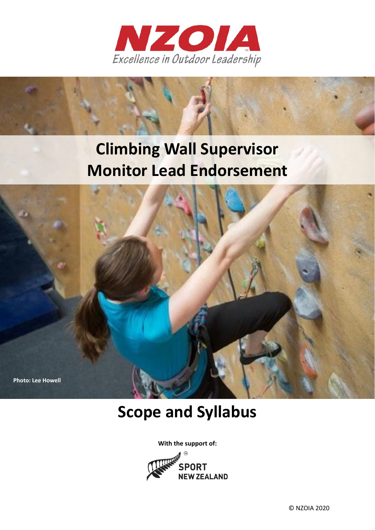

# **Climbing Wall Supervisor Monitor Lead Endorsement**



## **Scope and Syllabus**

**With the support of:**  $\widehat{m}$ 

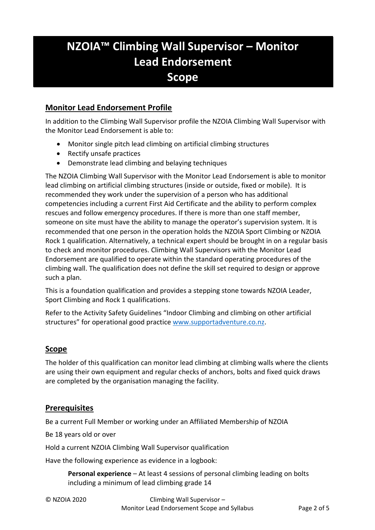### **NZOIA™ Climbing Wall Supervisor – Monitor Lead Endorsement Scope**

### **Monitor Lead Endorsement Profile**

In addition to the Climbing Wall Supervisor profile the NZOIA Climbing Wall Supervisor with the Monitor Lead Endorsement is able to:

- Monitor single pitch lead climbing on artificial climbing structures
- Rectify unsafe practices
- Demonstrate lead climbing and belaying techniques

The NZOIA Climbing Wall Supervisor with the Monitor Lead Endorsement is able to monitor lead climbing on artificial climbing structures (inside or outside, fixed or mobile). It is recommended they work under the supervision of a person who has additional competencies including a current First Aid Certificate and the ability to perform complex rescues and follow emergency procedures. If there is more than one staff member, someone on site must have the ability to manage the operator's supervision system. It is recommended that one person in the operation holds the NZOIA Sport Climbing or NZOIA Rock 1 qualification. Alternatively, a technical expert should be brought in on a regular basis to check and monitor procedures. Climbing Wall Supervisors with the Monitor Lead Endorsement are qualified to operate within the standard operating procedures of the climbing wall. The qualification does not define the skill set required to design or approve such a plan.

This is a foundation qualification and provides a stepping stone towards NZOIA Leader, Sport Climbing and Rock 1 qualifications.

Refer to the Activity Safety Guidelines "Indoor Climbing and climbing on other artificial structures" for operational good practice [www.supportadventure.co.nz.](http://www.supportadventure.co.nz/)

### **Scope**

The holder of this qualification can monitor lead climbing at climbing walls where the clients are using their own equipment and regular checks of anchors, bolts and fixed quick draws are completed by the organisation managing the facility.

### **Prerequisites**

Be a current Full Member or working under an Affiliated Membership of NZOIA

Be 18 years old or over

Hold a current NZOIA Climbing Wall Supervisor qualification

Have the following experience as evidence in a logbook:

**Personal experience** – At least 4 sessions of personal climbing leading on bolts including a minimum of lead climbing grade 14

© NZOIA 2020 Climbing Wall Supervisor – Monitor Lead Endorsement Scope and Syllabus Page 2 of 5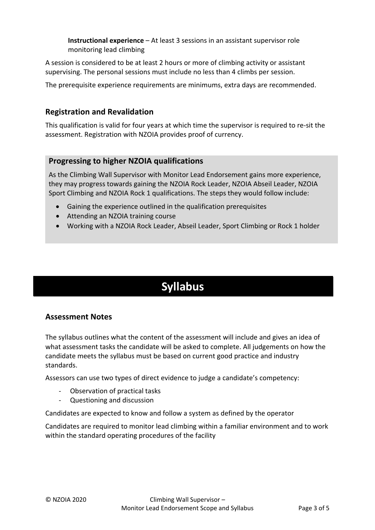**Instructional experience** – At least 3 sessions in an assistant supervisor role monitoring lead climbing

A session is considered to be at least 2 hours or more of climbing activity or assistant supervising. The personal sessions must include no less than 4 climbs per session.

The prerequisite experience requirements are minimums, extra days are recommended.

### **Registration and Revalidation**

This qualification is valid for four years at which time the supervisor is required to re-sit the assessment. Registration with NZOIA provides proof of currency.

### **Progressing to higher NZOIA qualifications**

As the Climbing Wall Supervisor with Monitor Lead Endorsement gains more experience, they may progress towards gaining the NZOIA Rock Leader, NZOIA Abseil Leader, NZOIA Sport Climbing and NZOIA Rock 1 qualifications. The steps they would follow include:

- Gaining the experience outlined in the qualification prerequisites
- Attending an NZOIA training course
- Working with a NZOIA Rock Leader, Abseil Leader, Sport Climbing or Rock 1 holder

### **Syllabus**

### **Assessment Notes**

The syllabus outlines what the content of the assessment will include and gives an idea of what assessment tasks the candidate will be asked to complete. All judgements on how the candidate meets the syllabus must be based on current good practice and industry standards.

Assessors can use two types of direct evidence to judge a candidate's competency:

- Observation of practical tasks
- Questioning and discussion

Candidates are expected to know and follow a system as defined by the operator

Candidates are required to monitor lead climbing within a familiar environment and to work within the standard operating procedures of the facility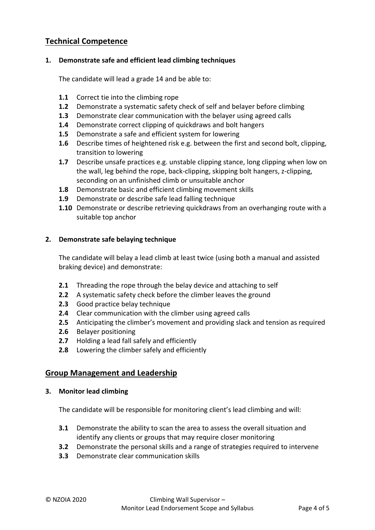### **Technical Competence**

### **1. Demonstrate safe and efficient lead climbing techniques**

The candidate will lead a grade 14 and be able to:

- **1.1** Correct tie into the climbing rope
- **1.2** Demonstrate a systematic safety check of self and belayer before climbing
- **1.3** Demonstrate clear communication with the belayer using agreed calls
- **1.4** Demonstrate correct clipping of quickdraws and bolt hangers
- **1.5** Demonstrate a safe and efficient system for lowering
- **1.6** Describe times of heightened risk e.g. between the first and second bolt, clipping, transition to lowering
- **1.7** Describe unsafe practices e.g. unstable clipping stance, long clipping when low on the wall, leg behind the rope, back-clipping, skipping bolt hangers, z-clipping, seconding on an unfinished climb or unsuitable anchor
- **1.8** Demonstrate basic and efficient climbing movement skills
- **1.9** Demonstrate or describe safe lead falling technique
- **1.10** Demonstrate or describe retrieving quickdraws from an overhanging route with a suitable top anchor

#### **2. Demonstrate safe belaying technique**

The candidate will belay a lead climb at least twice (using both a manual and assisted braking device) and demonstrate:

- **2.1** Threading the rope through the belay device and attaching to self
- **2.2** A systematic safety check before the climber leaves the ground
- **2.3** Good practice belay technique
- **2.4** Clear communication with the climber using agreed calls
- **2.5** Anticipating the climber's movement and providing slack and tension as required
- **2.6** Belayer positioning
- **2.7** Holding a lead fall safely and efficiently
- **2.8** Lowering the climber safely and efficiently

### **Group Management and Leadership**

#### **3. Monitor lead climbing**

The candidate will be responsible for monitoring client's lead climbing and will:

- **3.1** Demonstrate the ability to scan the area to assess the overall situation and identify any clients or groups that may require closer monitoring
- **3.2** Demonstrate the personal skills and a range of strategies required to intervene
- **3.3** Demonstrate clear communication skills